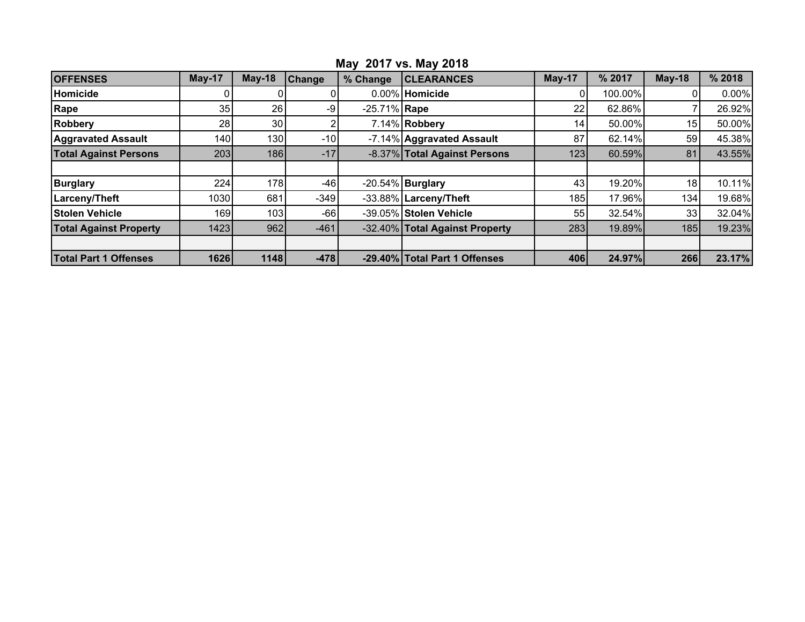| <b>OFFENSES</b>               | $May-17$ | $May-18$   | <b>Change</b> | % Change        | <b>CLEARANCES</b>              | May-17          | % 2017  | $May-18$        | % 2018   |
|-------------------------------|----------|------------|---------------|-----------------|--------------------------------|-----------------|---------|-----------------|----------|
| Homicide                      |          |            |               |                 | 0.00% Homicide                 |                 | 100.00% |                 | $0.00\%$ |
| Rape                          | 35       | 26         | -9            | $-25.71\%$ Rape |                                | 22              | 62.86%  |                 | 26.92%   |
| <b>Robbery</b>                | 28       | 30         |               |                 | 7.14% Robbery                  | 14 <sub>1</sub> | 50.00%  | 15              | 50.00%   |
| <b>Aggravated Assault</b>     | 140      | 130        | $-10$         |                 | -7.14% Aggravated Assault      | 87              | 62.14%  | 59              | 45.38%   |
| <b>Total Against Persons</b>  | 203      | <b>186</b> | $-17$         |                 | -8.37% Total Against Persons   | 123             | 60.59%  | 81              | 43.55%   |
|                               |          |            |               |                 |                                |                 |         |                 |          |
| <b>Burglary</b>               | 224      | 178        | $-46$         |                 | $-20.54\%$ Burglary            | 43              | 19.20%  | 18 <sub>1</sub> | 10.11%   |
| <b>Larceny/Theft</b>          | 1030     | 681        | $-349$        |                 | -33.88% Larceny/Theft          | 185             | 17.96%  | 134             | 19.68%   |
| <b>Stolen Vehicle</b>         | 1691     | 103        | $-66$         |                 | -39.05% Stolen Vehicle         | 55              | 32.54%  | 33              | 32.04%   |
| <b>Total Against Property</b> | 1423     | 962        | $-461$        |                 | -32.40% Total Against Property | 283             | 19.89%  | 185             | 19.23%   |
|                               |          |            |               |                 |                                |                 |         |                 |          |
| <b>Total Part 1 Offenses</b>  | 1626     | 1148       | $-478$        |                 | -29.40% Total Part 1 Offenses  | 406             | 24.97%  | 266             | 23.17%   |

## **May 2017 vs. May 2018**